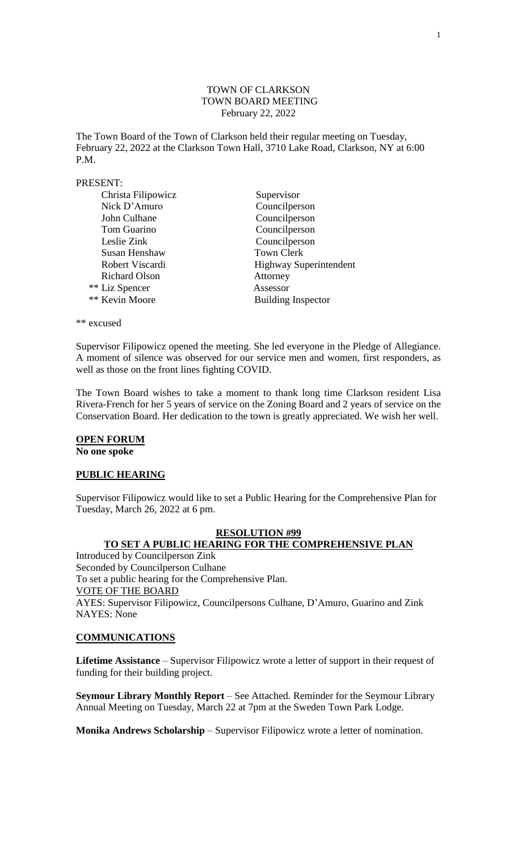# TOWN OF CLARKSON TOWN BOARD MEETING February 22, 2022

The Town Board of the Town of Clarkson held their regular meeting on Tuesday, February 22, 2022 at the Clarkson Town Hall, 3710 Lake Road, Clarkson, NY at 6:00 P.M.

#### PRESENT:

| Christa Filipowicz   | Supervisor                    |
|----------------------|-------------------------------|
| Nick D'Amuro         | Councilperson                 |
| John Culhane         | Councilperson                 |
| Tom Guarino          | Councilperson                 |
| Leslie Zink          | Councilperson                 |
| Susan Henshaw        | <b>Town Clerk</b>             |
| Robert Viscardi      | <b>Highway Superintendent</b> |
| <b>Richard Olson</b> | Attorney                      |
| ** Liz Spencer       | Assessor                      |
| ** Kevin Moore       | <b>Building Inspector</b>     |

\*\* excused

Supervisor Filipowicz opened the meeting. She led everyone in the Pledge of Allegiance. A moment of silence was observed for our service men and women, first responders, as well as those on the front lines fighting COVID.

The Town Board wishes to take a moment to thank long time Clarkson resident Lisa Rivera-French for her 5 years of service on the Zoning Board and 2 years of service on the Conservation Board. Her dedication to the town is greatly appreciated. We wish her well.

# **OPEN FORUM**

**No one spoke**

### **PUBLIC HEARING**

Supervisor Filipowicz would like to set a Public Hearing for the Comprehensive Plan for Tuesday, March 26, 2022 at 6 pm.

# **RESOLUTION #99 TO SET A PUBLIC HEARING FOR THE COMPREHENSIVE PLAN**

Introduced by Councilperson Zink Seconded by Councilperson Culhane To set a public hearing for the Comprehensive Plan. VOTE OF THE BOARD AYES: Supervisor Filipowicz, Councilpersons Culhane, D'Amuro, Guarino and Zink NAYES: None

#### **COMMUNICATIONS**

**Lifetime Assistance** – Supervisor Filipowicz wrote a letter of support in their request of funding for their building project.

**Seymour Library Monthly Report** – See Attached. Reminder for the Seymour Library Annual Meeting on Tuesday, March 22 at 7pm at the Sweden Town Park Lodge.

**Monika Andrews Scholarship** – Supervisor Filipowicz wrote a letter of nomination.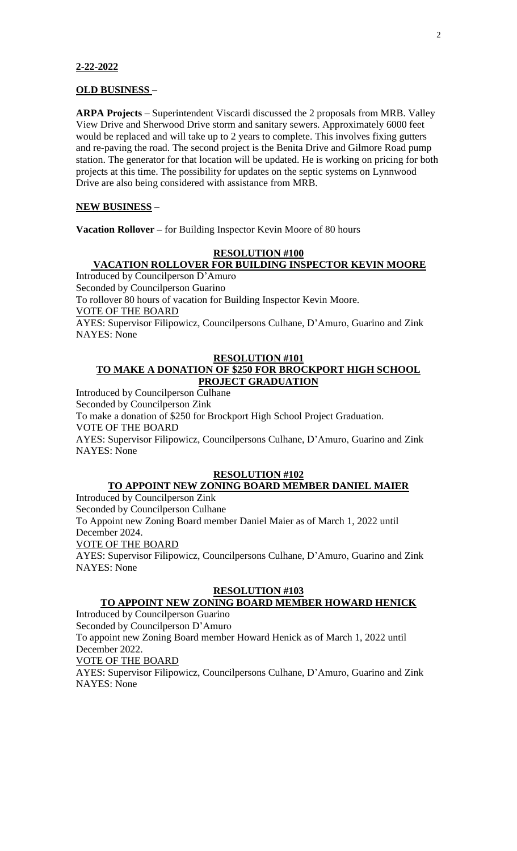#### **2-22-2022**

#### **OLD BUSINESS** –

**ARPA Projects** – Superintendent Viscardi discussed the 2 proposals from MRB. Valley View Drive and Sherwood Drive storm and sanitary sewers. Approximately 6000 feet would be replaced and will take up to 2 years to complete. This involves fixing gutters and re-paving the road. The second project is the Benita Drive and Gilmore Road pump station. The generator for that location will be updated. He is working on pricing for both projects at this time. The possibility for updates on the septic systems on Lynnwood Drive are also being considered with assistance from MRB.

#### **NEW BUSINESS –**

**Vacation Rollover –** for Building Inspector Kevin Moore of 80 hours

#### **RESOLUTION #100**

# **VACATION ROLLOVER FOR BUILDING INSPECTOR KEVIN MOORE**

Introduced by Councilperson D'Amuro Seconded by Councilperson Guarino To rollover 80 hours of vacation for Building Inspector Kevin Moore. VOTE OF THE BOARD AYES: Supervisor Filipowicz, Councilpersons Culhane, D'Amuro, Guarino and Zink NAYES: None

#### **RESOLUTION #101 TO MAKE A DONATION OF \$250 FOR BROCKPORT HIGH SCHOOL PROJECT GRADUATION**

Introduced by Councilperson Culhane Seconded by Councilperson Zink To make a donation of \$250 for Brockport High School Project Graduation. VOTE OF THE BOARD AYES: Supervisor Filipowicz, Councilpersons Culhane, D'Amuro, Guarino and Zink NAYES: None

#### **RESOLUTION #102**

# **TO APPOINT NEW ZONING BOARD MEMBER DANIEL MAIER**  Introduced by Councilperson Zink

Seconded by Councilperson Culhane

To Appoint new Zoning Board member Daniel Maier as of March 1, 2022 until December 2024.

VOTE OF THE BOARD

AYES: Supervisor Filipowicz, Councilpersons Culhane, D'Amuro, Guarino and Zink NAYES: None

# **RESOLUTION #103**

# **TO APPOINT NEW ZONING BOARD MEMBER HOWARD HENICK**

Introduced by Councilperson Guarino Seconded by Councilperson D'Amuro

To appoint new Zoning Board member Howard Henick as of March 1, 2022 until December 2022.

VOTE OF THE BOARD

AYES: Supervisor Filipowicz, Councilpersons Culhane, D'Amuro, Guarino and Zink NAYES: None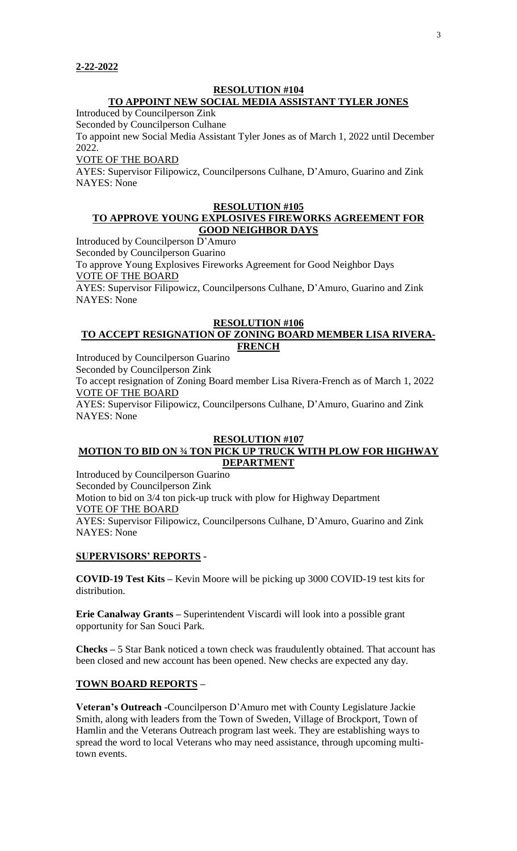### **RESOLUTION #104 TO APPOINT NEW SOCIAL MEDIA ASSISTANT TYLER JONES**

Introduced by Councilperson Zink

Seconded by Councilperson Culhane To appoint new Social Media Assistant Tyler Jones as of March 1, 2022 until December 2022.

VOTE OF THE BOARD

AYES: Supervisor Filipowicz, Councilpersons Culhane, D'Amuro, Guarino and Zink NAYES: None

#### **RESOLUTION #105**

# **TO APPROVE YOUNG EXPLOSIVES FIREWORKS AGREEMENT FOR GOOD NEIGHBOR DAYS**

Introduced by Councilperson D'Amuro

Seconded by Councilperson Guarino

To approve Young Explosives Fireworks Agreement for Good Neighbor Days VOTE OF THE BOARD

AYES: Supervisor Filipowicz, Councilpersons Culhane, D'Amuro, Guarino and Zink NAYES: None

#### **RESOLUTION #106**

### **TO ACCEPT RESIGNATION OF ZONING BOARD MEMBER LISA RIVERA-FRENCH**

Introduced by Councilperson Guarino

Seconded by Councilperson Zink

To accept resignation of Zoning Board member Lisa Rivera-French as of March 1, 2022 VOTE OF THE BOARD

AYES: Supervisor Filipowicz, Councilpersons Culhane, D'Amuro, Guarino and Zink NAYES: None

### **RESOLUTION #107 MOTION TO BID ON ¾ TON PICK UP TRUCK WITH PLOW FOR HIGHWAY DEPARTMENT**

Introduced by Councilperson Guarino Seconded by Councilperson Zink Motion to bid on 3/4 ton pick-up truck with plow for Highway Department VOTE OF THE BOARD AYES: Supervisor Filipowicz, Councilpersons Culhane, D'Amuro, Guarino and Zink NAYES: None

# **SUPERVISORS' REPORTS -**

**COVID-19 Test Kits –** Kevin Moore will be picking up 3000 COVID-19 test kits for distribution.

**Erie Canalway Grants –** Superintendent Viscardi will look into a possible grant opportunity for San Souci Park.

**Checks –** 5 Star Bank noticed a town check was fraudulently obtained. That account has been closed and new account has been opened. New checks are expected any day.

# **TOWN BOARD REPORTS –**

**Veteran's Outreach -**Councilperson D'Amuro met with County Legislature Jackie Smith, along with leaders from the Town of Sweden, Village of Brockport, Town of Hamlin and the Veterans Outreach program last week. They are establishing ways to spread the word to local Veterans who may need assistance, through upcoming multitown events.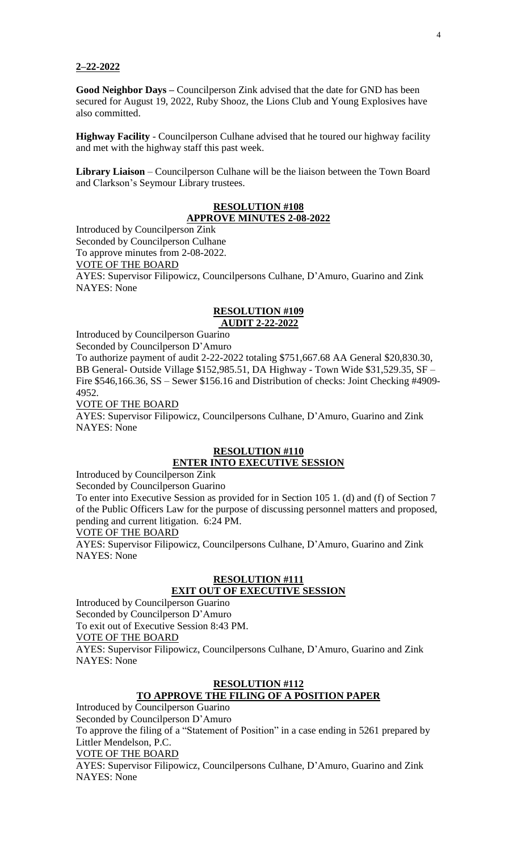#### **2–22-2022**

**Good Neighbor Days –** Councilperson Zink advised that the date for GND has been secured for August 19, 2022, Ruby Shooz, the Lions Club and Young Explosives have also committed.

**Highway Facility** - Councilperson Culhane advised that he toured our highway facility and met with the highway staff this past week.

**Library Liaison** – Councilperson Culhane will be the liaison between the Town Board and Clarkson's Seymour Library trustees.

# **RESOLUTION #108 APPROVE MINUTES 2-08-2022**

Introduced by Councilperson Zink Seconded by Councilperson Culhane To approve minutes from 2-08-2022. VOTE OF THE BOARD AYES: Supervisor Filipowicz, Councilpersons Culhane, D'Amuro, Guarino and Zink NAYES: None

### **RESOLUTION #109 AUDIT 2-22-2022**

Introduced by Councilperson Guarino

Seconded by Councilperson D'Amuro To authorize payment of audit 2-22-2022 totaling \$751,667.68 AA General \$20,830.30, BB General- Outside Village \$152,985.51, DA Highway - Town Wide \$31,529.35, SF – Fire \$546,166.36, SS – Sewer \$156.16 and Distribution of checks: Joint Checking #4909- 4952.

VOTE OF THE BOARD

AYES: Supervisor Filipowicz, Councilpersons Culhane, D'Amuro, Guarino and Zink NAYES: None

# **RESOLUTION #110 ENTER INTO EXECUTIVE SESSION**

Introduced by Councilperson Zink

Seconded by Councilperson Guarino

To enter into Executive Session as provided for in Section 105 1. (d) and (f) of Section 7 of the Public Officers Law for the purpose of discussing personnel matters and proposed, pending and current litigation. 6:24 PM.

VOTE OF THE BOARD

AYES: Supervisor Filipowicz, Councilpersons Culhane, D'Amuro, Guarino and Zink NAYES: None

### **RESOLUTION #111 EXIT OUT OF EXECUTIVE SESSION**

Introduced by Councilperson Guarino Seconded by Councilperson D'Amuro To exit out of Executive Session 8:43 PM.

VOTE OF THE BOARD

AYES: Supervisor Filipowicz, Councilpersons Culhane, D'Amuro, Guarino and Zink NAYES: None

# **RESOLUTION #112**

# **TO APPROVE THE FILING OF A POSITION PAPER**

Introduced by Councilperson Guarino Seconded by Councilperson D'Amuro To approve the filing of a "Statement of Position" in a case ending in 5261 prepared by Littler Mendelson, P.C.

VOTE OF THE BOARD

AYES: Supervisor Filipowicz, Councilpersons Culhane, D'Amuro, Guarino and Zink NAYES: None